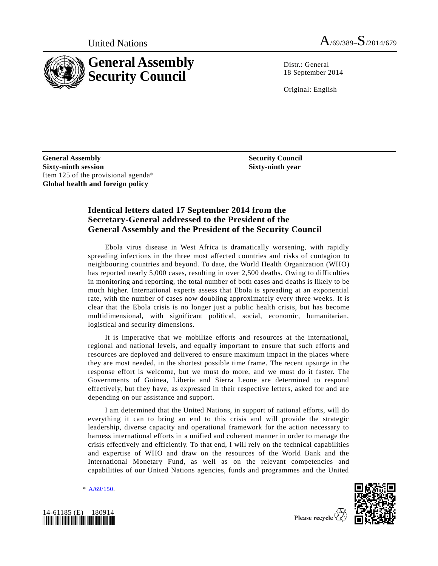

Distr.: General 18 September 2014

Original: English

**General Assembly Sixty-ninth session** Item 125 of the provisional agenda\* **Global health and foreign policy**

**Security Council Sixty-ninth year**

## **Identical letters dated 17 September 2014 from the Secretary-General addressed to the President of the General Assembly and the President of the Security Council**

Ebola virus disease in West Africa is dramatically worsening, with rapidly spreading infections in the three most affected countries and risks of contagion to neighbouring countries and beyond. To date, the World Health Organization (WHO) has reported nearly 5,000 cases, resulting in over 2,500 deaths. Owing to difficulties in monitoring and reporting, the total number of both cases and deaths is likely to be much higher. International experts assess that Ebola is spreading at an exponential rate, with the number of cases now doubling approximately every three weeks. It is clear that the Ebola crisis is no longer just a public health crisis, but has become multidimensional, with significant political, social, economic, humanitarian, logistical and security dimensions.

It is imperative that we mobilize efforts and resources at the international, regional and national levels, and equally important to ensure that such efforts and resources are deployed and delivered to ensure maximum impact in the places where they are most needed, in the shortest possible time frame. The recent upsurge in the response effort is welcome, but we must do more, and we must do it faster. The Governments of Guinea, Liberia and Sierra Leone are determined to respond effectively, but they have, as expressed in their respective letters, asked for and are depending on our assistance and support.

I am determined that the United Nations, in support of national efforts, will do everything it can to bring an end to this crisis and will provide the strategic leadership, diverse capacity and operational framework for the action necessary to harness international efforts in a unified and coherent manner in order to manage the crisis effectively and efficiently. To that end, I will rely on the technical capabilities and expertise of WHO and draw on the resources of the World Bank and the International Monetary Fund, as well as on the relevant competencies and capabilities of our United Nations agencies, funds and programmes and the United



 $* A/69/150.$  $* A/69/150.$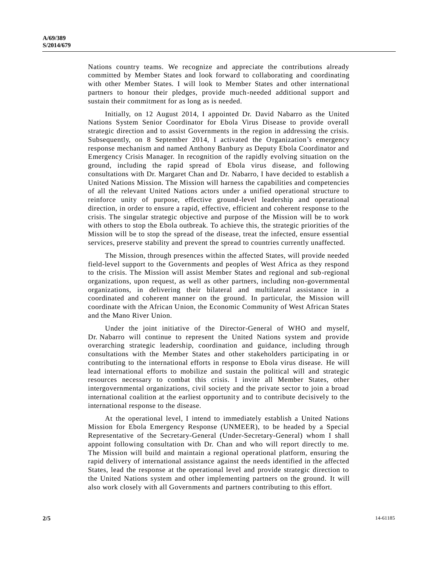Nations country teams. We recognize and appreciate the contributions already committed by Member States and look forward to collaborating and coordinating with other Member States. I will look to Member States and other international partners to honour their pledges, provide much-needed additional support and sustain their commitment for as long as is needed.

Initially, on 12 August 2014, I appointed Dr. David Nabarro as the United Nations System Senior Coordinator for Ebola Virus Disease to provide overall strategic direction and to assist Governments in the region in addressing the crisis. Subsequently, on 8 September 2014, I activated the Organization's emergency response mechanism and named Anthony Banbury as Deputy Ebola Coordinator and Emergency Crisis Manager. In recognition of the rapidly evolving situation on the ground, including the rapid spread of Ebola virus disease, and following consultations with Dr. Margaret Chan and Dr. Nabarro, I have decided to establish a United Nations Mission. The Mission will harness the capabilities and competencies of all the relevant United Nations actors under a unified operational structure to reinforce unity of purpose, effective ground-level leadership and operational direction, in order to ensure a rapid, effective, efficient and coherent response to the crisis. The singular strategic objective and purpose of the Mission will be to work with others to stop the Ebola outbreak. To achieve this, the strategic priorities of the Mission will be to stop the spread of the disease, treat the infected, ensure essential services, preserve stability and prevent the spread to countries currently unaffected.

The Mission, through presences within the affected States, will provide needed field-level support to the Governments and peoples of West Africa as they respond to the crisis. The Mission will assist Member States and regional and sub-regional organizations, upon request, as well as other partners, including non-governmental organizations, in delivering their bilateral and multilateral assistance in a coordinated and coherent manner on the ground. In particular, the Mission will coordinate with the African Union, the Economic Community of West African States and the Mano River Union.

Under the joint initiative of the Director-General of WHO and myself, Dr. Nabarro will continue to represent the United Nations system and provide overarching strategic leadership, coordination and guidance, including through consultations with the Member States and other stakeholders participating in or contributing to the international efforts in response to Ebola virus disease. He will lead international efforts to mobilize and sustain the political will and strategic resources necessary to combat this crisis. I invite all Member States, other intergovernmental organizations, civil society and the private sector to join a broad international coalition at the earliest opportunity and to contribute decisively to the international response to the disease.

At the operational level, I intend to immediately establish a United Nations Mission for Ebola Emergency Response (UNMEER), to be headed by a Special Representative of the Secretary-General (Under-Secretary-General) whom I shall appoint following consultation with Dr. Chan and who will report directly to me. The Mission will build and maintain a regional operational platform, ensuring the rapid delivery of international assistance against the needs identified in the affected States, lead the response at the operational level and provide strategic direction to the United Nations system and other implementing partners on the ground. It will also work closely with all Governments and partners contributing to this effort.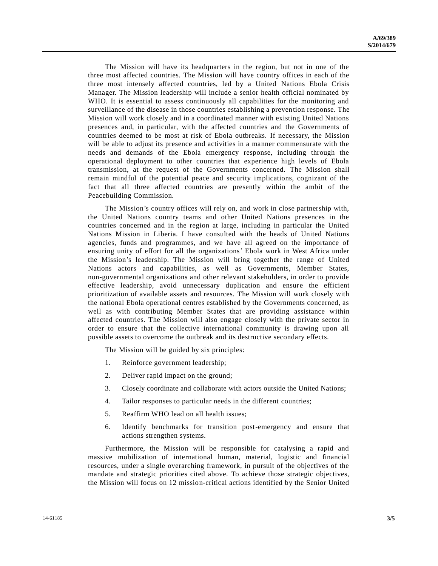The Mission will have its headquarters in the region, but not in one of the three most affected countries. The Mission will have country offices in each of the three most intensely affected countries, led by a United Nations Ebola Crisis Manager. The Mission leadership will include a senior health official nominated by WHO. It is essential to assess continuously all capabilities for the monitoring and surveillance of the disease in those countries establishing a prevention response. The Mission will work closely and in a coordinated manner with existing United Nations presences and, in particular, with the affected countries and the Governments of countries deemed to be most at risk of Ebola outbreaks. If necessary, the Mission will be able to adjust its presence and activities in a manner commensurate with the needs and demands of the Ebola emergency response, including through the operational deployment to other countries that experience high levels of Ebola transmission, at the request of the Governments concerned. The Mission shall remain mindful of the potential peace and security implications, cognizant of the fact that all three affected countries are presently within the ambit of the Peacebuilding Commission.

The Mission's country offices will rely on, and work in close partnership with, the United Nations country teams and other United Nations presences in the countries concerned and in the region at large, including in particular the United Nations Mission in Liberia. I have consulted with the heads of United Nations agencies, funds and programmes, and we have all agreed on the importance of ensuring unity of effort for all the organizations' Ebola work in West Africa under the Mission's leadership. The Mission will bring together the range of United Nations actors and capabilities, as well as Governments, Member States, non-governmental organizations and other relevant stakeholders, in order to provide effective leadership, avoid unnecessary duplication and ensure the efficient prioritization of available assets and resources. The Mission will work closely with the national Ebola operational centres established by the Governments concerned, as well as with contributing Member States that are providing assistance within affected countries. The Mission will also engage closely with the private sector in order to ensure that the collective international community is drawing upon all possible assets to overcome the outbreak and its destructive secondary effects.

The Mission will be guided by six principles:

- 1. Reinforce government leadership;
- 2. Deliver rapid impact on the ground;
- 3. Closely coordinate and collaborate with actors outside the United Nations;
- 4. Tailor responses to particular needs in the different countries;
- 5. Reaffirm WHO lead on all health issues;
- 6. Identify benchmarks for transition post-emergency and ensure that actions strengthen systems.

Furthermore, the Mission will be responsible for catalysing a rapid and massive mobilization of international human, material, logistic and financial resources, under a single overarching framework, in pursuit of the objectives of the mandate and strategic priorities cited above. To achieve those strategic objectives, the Mission will focus on 12 mission-critical actions identified by the Senior United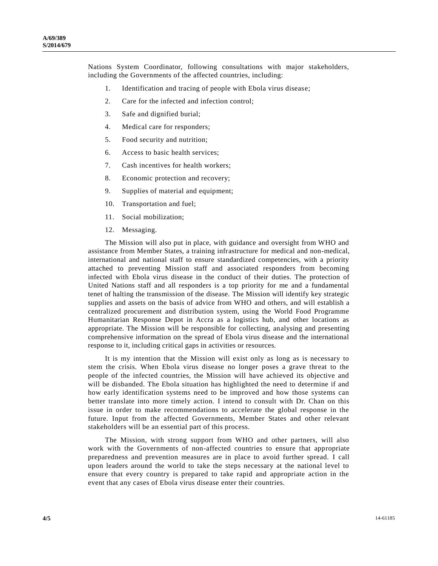Nations System Coordinator, following consultations with major stakeholders, including the Governments of the affected countries, including:

- 1. Identification and tracing of people with Ebola virus disease;
- 2. Care for the infected and infection control;
- 3. Safe and dignified burial;
- 4. Medical care for responders;
- 5. Food security and nutrition;
- 6. Access to basic health services;
- 7. Cash incentives for health workers;
- 8. Economic protection and recovery;
- 9. Supplies of material and equipment;
- 10. Transportation and fuel;
- 11. Social mobilization;
- 12. Messaging.

The Mission will also put in place, with guidance and oversight from WHO and assistance from Member States, a training infrastructure for medical and non-medical, international and national staff to ensure standardized competencies, with a priority attached to preventing Mission staff and associated responders from becoming infected with Ebola virus disease in the conduct of their duties. The protection of United Nations staff and all responders is a top priority for me and a fundamental tenet of halting the transmission of the disease. The Mission will identify key strategic supplies and assets on the basis of advice from WHO and others, and will establish a centralized procurement and distribution system, using the World Food Programme Humanitarian Response Depot in Accra as a logistics hub, and other locations as appropriate. The Mission will be responsible for collecting, analysing and presenting comprehensive information on the spread of Ebola virus disease and the international response to it, including critical gaps in activities or resources.

It is my intention that the Mission will exist only as long as is necessary to stem the crisis. When Ebola virus disease no longer poses a grave threat to the people of the infected countries, the Mission will have achieved its objective and will be disbanded. The Ebola situation has highlighted the need to determine if and how early identification systems need to be improved and how those systems can better translate into more timely action. I intend to consult with Dr. Chan on this issue in order to make recommendations to accelerate the global response in the future. Input from the affected Governments, Member States and other relevant stakeholders will be an essential part of this process.

The Mission, with strong support from WHO and other partners, will also work with the Governments of non-affected countries to ensure that appropriate preparedness and prevention measures are in place to avoid further spread. I call upon leaders around the world to take the steps necessary at the national level to ensure that every country is prepared to take rapid and appropriate action in the event that any cases of Ebola virus disease enter their countries.